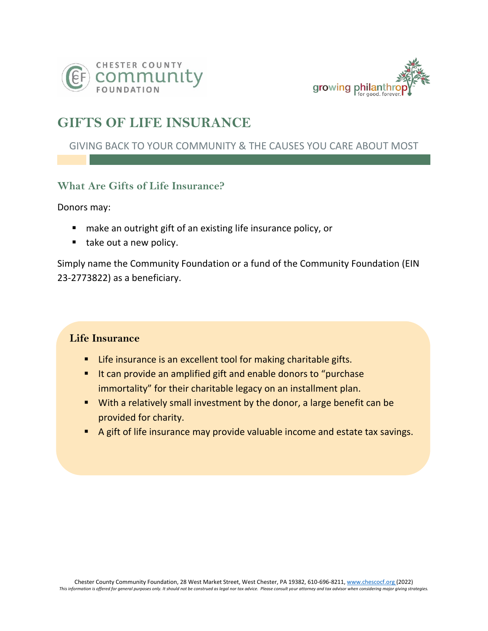



# **GIFTS OF LIFE INSURANCE**

## GIVING BACK TO YOUR COMMUNITY & THE CAUSES YOU CARE ABOUT MOST

## **What Are Gifts of Life Insurance?**

Donors may:

- make an outright gift of an existing life insurance policy, or
- take out a new policy.

Simply name the Community Foundation or a fund of the Community Foundation (EIN 23-2773822) as a beneficiary.

### **Life Insurance**

- Life insurance is an excellent tool for making charitable gifts.
- It can provide an amplified gift and enable donors to "purchase immortality" for their charitable legacy on an installment plan.
- With a relatively small investment by the donor, a large benefit can be provided for charity.
- A gift of life insurance may provide valuable income and estate tax savings.